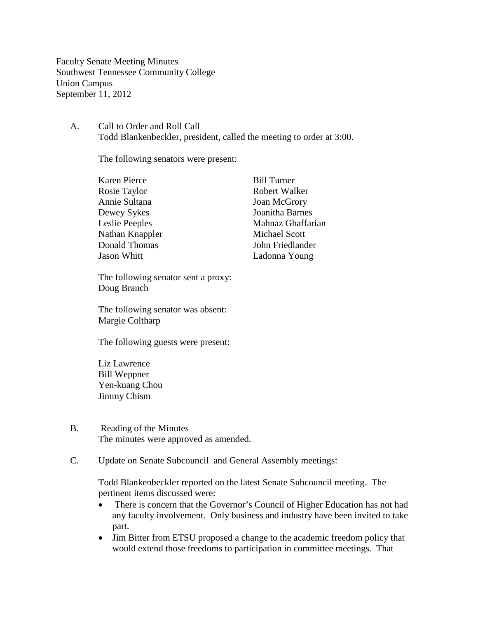Faculty Senate Meeting Minutes Southwest Tennessee Community College Union Campus September 11, 2012

A. Call to Order and Roll Call Todd Blankenbeckler, president, called the meeting to order at 3:00.

The following senators were present:

| <b>Bill Turner</b>   |
|----------------------|
| Robert Walker        |
| <b>Joan McGrory</b>  |
| Joanitha Barnes      |
| Mahnaz Ghaffarian    |
| <b>Michael Scott</b> |
| John Friedlander     |
| Ladonna Young        |
|                      |

The following senator sent a proxy: Doug Branch

The following senator was absent: Margie Coltharp

The following guests were present:

Liz Lawrence Bill Weppner Yen-kuang Chou Jimmy Chism

- B. Reading of the Minutes The minutes were approved as amended.
- C. Update on Senate Subcouncil and General Assembly meetings:

Todd Blankenbeckler reported on the latest Senate Subcouncil meeting. The pertinent items discussed were:

- There is concern that the Governor's Council of Higher Education has not had any faculty involvement. Only business and industry have been invited to take part.
- Jim Bitter from ETSU proposed a change to the academic freedom policy that would extend those freedoms to participation in committee meetings. That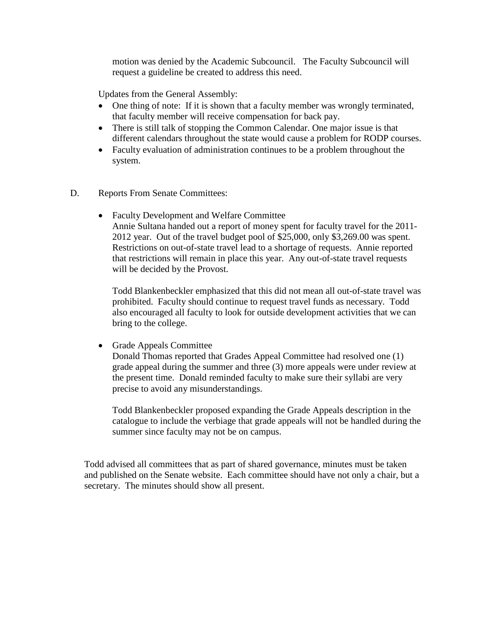motion was denied by the Academic Subcouncil. The Faculty Subcouncil will request a guideline be created to address this need.

Updates from the General Assembly:

- One thing of note: If it is shown that a faculty member was wrongly terminated, that faculty member will receive compensation for back pay.
- There is still talk of stopping the Common Calendar. One major issue is that different calendars throughout the state would cause a problem for RODP courses.
- Faculty evaluation of administration continues to be a problem throughout the system.
- D. Reports From Senate Committees:
	- Faculty Development and Welfare Committee Annie Sultana handed out a report of money spent for faculty travel for the 2011- 2012 year. Out of the travel budget pool of \$25,000, only \$3,269.00 was spent. Restrictions on out-of-state travel lead to a shortage of requests. Annie reported that restrictions will remain in place this year. Any out-of-state travel requests will be decided by the Provost.

Todd Blankenbeckler emphasized that this did not mean all out-of-state travel was prohibited. Faculty should continue to request travel funds as necessary. Todd also encouraged all faculty to look for outside development activities that we can bring to the college.

• Grade Appeals Committee

Donald Thomas reported that Grades Appeal Committee had resolved one (1) grade appeal during the summer and three (3) more appeals were under review at the present time. Donald reminded faculty to make sure their syllabi are very precise to avoid any misunderstandings.

Todd Blankenbeckler proposed expanding the Grade Appeals description in the catalogue to include the verbiage that grade appeals will not be handled during the summer since faculty may not be on campus.

Todd advised all committees that as part of shared governance, minutes must be taken and published on the Senate website. Each committee should have not only a chair, but a secretary. The minutes should show all present.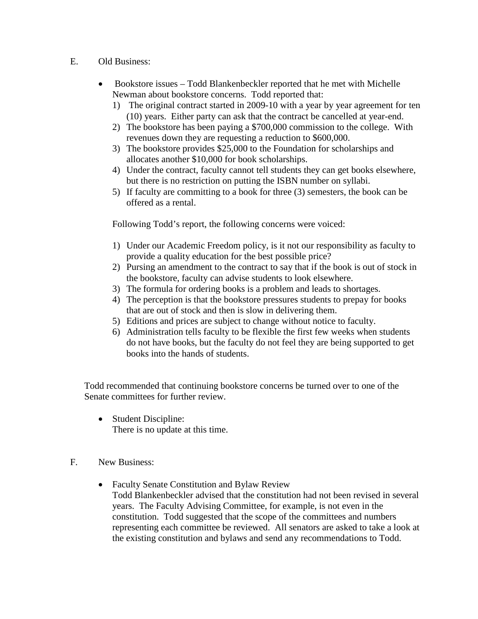- E. Old Business:
	- Bookstore issues Todd Blankenbeckler reported that he met with Michelle Newman about bookstore concerns. Todd reported that:
		- 1) The original contract started in 2009-10 with a year by year agreement for ten (10) years. Either party can ask that the contract be cancelled at year-end.
		- 2) The bookstore has been paying a \$700,000 commission to the college. With revenues down they are requesting a reduction to \$600,000.
		- 3) The bookstore provides \$25,000 to the Foundation for scholarships and allocates another \$10,000 for book scholarships.
		- 4) Under the contract, faculty cannot tell students they can get books elsewhere, but there is no restriction on putting the ISBN number on syllabi.
		- 5) If faculty are committing to a book for three (3) semesters, the book can be offered as a rental.

Following Todd's report, the following concerns were voiced:

- 1) Under our Academic Freedom policy, is it not our responsibility as faculty to provide a quality education for the best possible price?
- 2) Pursing an amendment to the contract to say that if the book is out of stock in the bookstore, faculty can advise students to look elsewhere.
- 3) The formula for ordering books is a problem and leads to shortages.
- 4) The perception is that the bookstore pressures students to prepay for books that are out of stock and then is slow in delivering them.
- 5) Editions and prices are subject to change without notice to faculty.
- 6) Administration tells faculty to be flexible the first few weeks when students do not have books, but the faculty do not feel they are being supported to get books into the hands of students.

Todd recommended that continuing bookstore concerns be turned over to one of the Senate committees for further review.

- Student Discipline: There is no update at this time.
- F. New Business:
	- Faculty Senate Constitution and Bylaw Review Todd Blankenbeckler advised that the constitution had not been revised in several years. The Faculty Advising Committee, for example, is not even in the constitution. Todd suggested that the scope of the committees and numbers representing each committee be reviewed. All senators are asked to take a look at the existing constitution and bylaws and send any recommendations to Todd.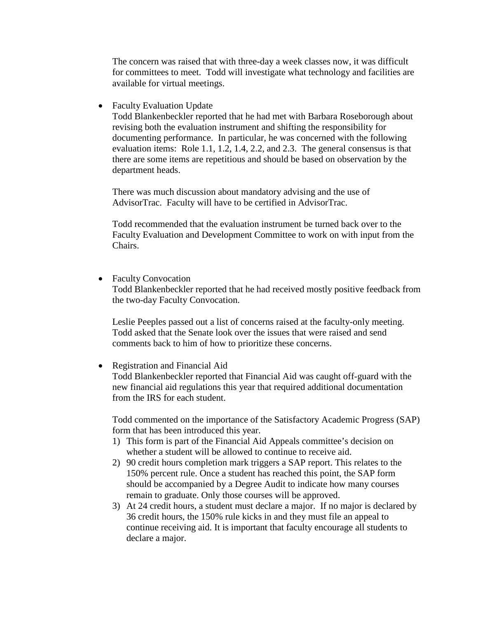The concern was raised that with three-day a week classes now, it was difficult for committees to meet. Todd will investigate what technology and facilities are available for virtual meetings.

• Faculty Evaluation Update

Todd Blankenbeckler reported that he had met with Barbara Roseborough about revising both the evaluation instrument and shifting the responsibility for documenting performance. In particular, he was concerned with the following evaluation items: Role 1.1, 1.2, 1.4, 2.2, and 2.3. The general consensus is that there are some items are repetitious and should be based on observation by the department heads.

There was much discussion about mandatory advising and the use of AdvisorTrac. Faculty will have to be certified in AdvisorTrac.

Todd recommended that the evaluation instrument be turned back over to the Faculty Evaluation and Development Committee to work on with input from the Chairs.

• Faculty Convocation

Todd Blankenbeckler reported that he had received mostly positive feedback from the two-day Faculty Convocation.

Leslie Peeples passed out a list of concerns raised at the faculty-only meeting. Todd asked that the Senate look over the issues that were raised and send comments back to him of how to prioritize these concerns.

• Registration and Financial Aid Todd Blankenbeckler reported that Financial Aid was caught off-guard with the new financial aid regulations this year that required additional documentation from the IRS for each student.

Todd commented on the importance of the Satisfactory Academic Progress (SAP) form that has been introduced this year.

- 1) This form is part of the Financial Aid Appeals committee's decision on whether a student will be allowed to continue to receive aid.
- 2) 90 credit hours completion mark triggers a SAP report. This relates to the 150% percent rule. Once a student has reached this point, the SAP form should be accompanied by a Degree Audit to indicate how many courses remain to graduate. Only those courses will be approved.
- 3) At 24 credit hours, a student must declare a major. If no major is declared by 36 credit hours, the 150% rule kicks in and they must file an appeal to continue receiving aid. It is important that faculty encourage all students to declare a major.